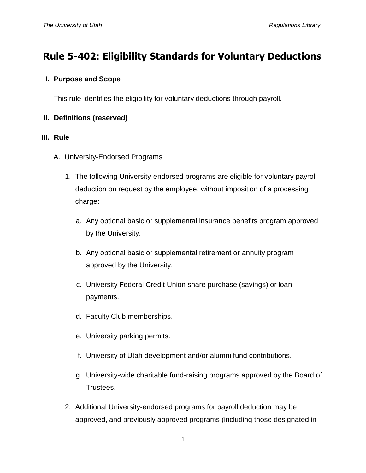# **Rule 5-402: Eligibility Standards for Voluntary Deductions**

### **I. Purpose and Scope**

This rule identifies the eligibility for voluntary deductions through payroll.

## **II. Definitions (reserved)**

#### **III. Rule**

- A. University-Endorsed Programs
	- 1. The following University-endorsed programs are eligible for voluntary payroll deduction on request by the employee, without imposition of a processing charge:
		- a. Any optional basic or supplemental insurance benefits program approved by the University.
		- b. Any optional basic or supplemental retirement or annuity program approved by the University.
		- c. University Federal Credit Union share purchase (savings) or loan payments.
		- d. Faculty Club memberships.
		- e. University parking permits.
		- f. University of Utah development and/or alumni fund contributions.
		- g. University-wide charitable fund-raising programs approved by the Board of Trustees.
	- 2. Additional University-endorsed programs for payroll deduction may be approved, and previously approved programs (including those designated in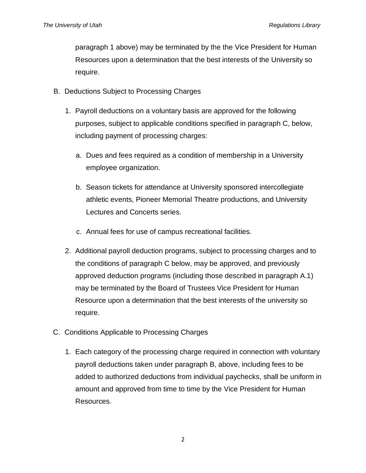paragraph 1 above) may be terminated by the the Vice President for Human Resources upon a determination that the best interests of the University so require.

- B. Deductions Subject to Processing Charges
	- 1. Payroll deductions on a voluntary basis are approved for the following purposes, subject to applicable conditions specified in paragraph C, below, including payment of processing charges:
		- a. Dues and fees required as a condition of membership in a University employee organization.
		- b. Season tickets for attendance at University sponsored intercollegiate athletic events, Pioneer Memorial Theatre productions, and University Lectures and Concerts series.
		- c. Annual fees for use of campus recreational facilities.
	- 2. Additional payroll deduction programs, subject to processing charges and to the conditions of paragraph C below, may be approved, and previously approved deduction programs (including those described in paragraph A.1) may be terminated by the Board of Trustees Vice President for Human Resource upon a determination that the best interests of the university so require.
- C. Conditions Applicable to Processing Charges
	- 1. Each category of the processing charge required in connection with voluntary payroll deductions taken under paragraph B, above, including fees to be added to authorized deductions from individual paychecks, shall be uniform in amount and approved from time to time by the Vice President for Human Resources.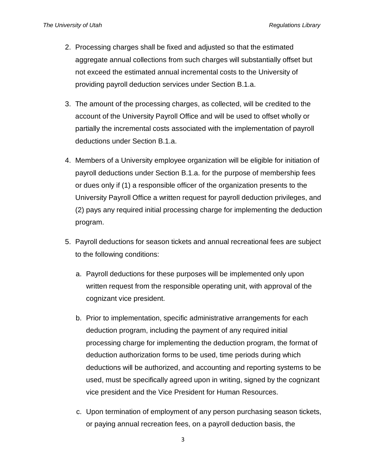- 2. Processing charges shall be fixed and adjusted so that the estimated aggregate annual collections from such charges will substantially offset but not exceed the estimated annual incremental costs to the University of providing payroll deduction services under Section B.1.a.
- 3. The amount of the processing charges, as collected, will be credited to the account of the University Payroll Office and will be used to offset wholly or partially the incremental costs associated with the implementation of payroll deductions under Section B.1.a.
- 4. Members of a University employee organization will be eligible for initiation of payroll deductions under Section B.1.a. for the purpose of membership fees or dues only if (1) a responsible officer of the organization presents to the University Payroll Office a written request for payroll deduction privileges, and (2) pays any required initial processing charge for implementing the deduction program.
- 5. Payroll deductions for season tickets and annual recreational fees are subject to the following conditions:
	- a. Payroll deductions for these purposes will be implemented only upon written request from the responsible operating unit, with approval of the cognizant vice president.
	- b. Prior to implementation, specific administrative arrangements for each deduction program, including the payment of any required initial processing charge for implementing the deduction program, the format of deduction authorization forms to be used, time periods during which deductions will be authorized, and accounting and reporting systems to be used, must be specifically agreed upon in writing, signed by the cognizant vice president and the Vice President for Human Resources.
	- c. Upon termination of employment of any person purchasing season tickets, or paying annual recreation fees, on a payroll deduction basis, the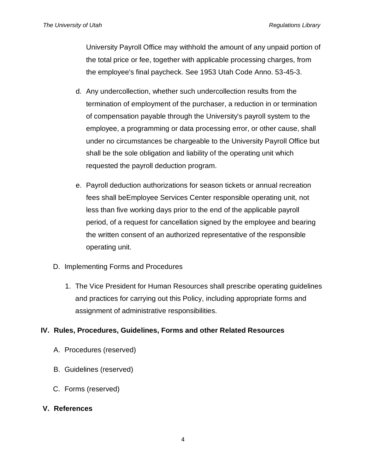University Payroll Office may withhold the amount of any unpaid portion of the total price or fee, together with applicable processing charges, from the employee's final paycheck. See 1953 Utah Code Anno. 53-45-3.

- d. Any undercollection, whether such undercollection results from the termination of employment of the purchaser, a reduction in or termination of compensation payable through the University's payroll system to the employee, a programming or data processing error, or other cause, shall under no circumstances be chargeable to the University Payroll Office but shall be the sole obligation and liability of the operating unit which requested the payroll deduction program.
- e. Payroll deduction authorizations for season tickets or annual recreation fees shall beEmployee Services Center responsible operating unit, not less than five working days prior to the end of the applicable payroll period, of a request for cancellation signed by the employee and bearing the written consent of an authorized representative of the responsible operating unit.
- D. Implementing Forms and Procedures
	- 1. The Vice President for Human Resources shall prescribe operating guidelines and practices for carrying out this Policy, including appropriate forms and assignment of administrative responsibilities.

# **IV. Rules, Procedures, Guidelines, Forms and other Related Resources**

- A. Procedures (reserved)
- B. Guidelines (reserved)
- C. Forms (reserved)

#### **V. References**